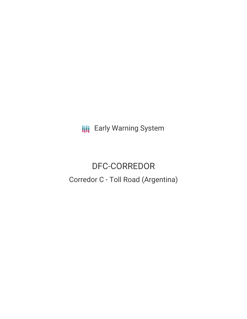**III** Early Warning System

# DFC-CORREDOR Corredor C - Toll Road (Argentina)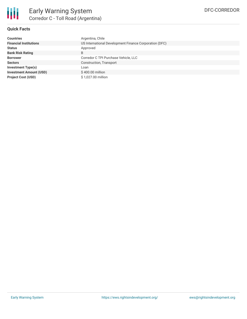

#### **Quick Facts**

| <b>Countries</b>               | Argentina, Chile                                       |  |  |
|--------------------------------|--------------------------------------------------------|--|--|
| <b>Financial Institutions</b>  | US International Development Finance Corporation (DFC) |  |  |
| <b>Status</b>                  | Approved                                               |  |  |
| <b>Bank Risk Rating</b>        | B                                                      |  |  |
| <b>Borrower</b>                | Corredor C TPI Purchase Vehicle, LLC                   |  |  |
| <b>Sectors</b>                 | Construction, Transport                                |  |  |
| <b>Investment Type(s)</b>      | Loan                                                   |  |  |
| <b>Investment Amount (USD)</b> | $$400.00$ million                                      |  |  |
| <b>Project Cost (USD)</b>      | \$1,027.00 million                                     |  |  |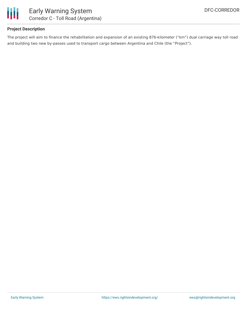

#### **Project Description**

The project will aim to finance the rehabilitation and expansion of an existing 876-kilometer ("km") dual carriage way toll road and building two new by-passes used to transport cargo between Argentina and Chile (the "Project").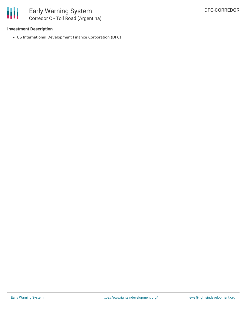

#### **Investment Description**

US International Development Finance Corporation (DFC)